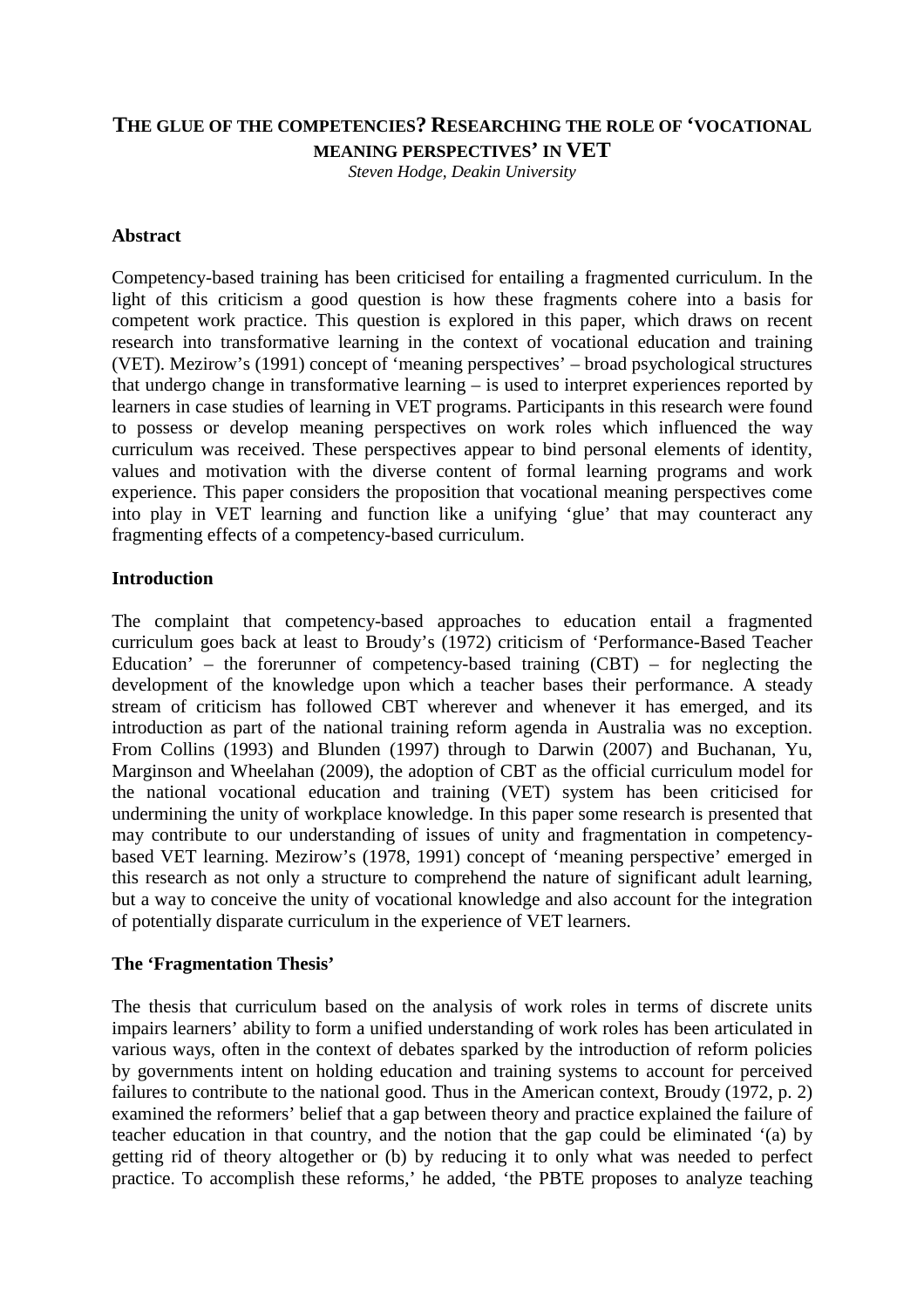# **THE GLUE OF THE COMPETENCIES? RESEARCHING THE ROLE OF 'VOCATIONAL MEANING PERSPECTIVES' IN VET**

*Steven Hodge, Deakin University* 

#### **Abstract**

Competency-based training has been criticised for entailing a fragmented curriculum. In the light of this criticism a good question is how these fragments cohere into a basis for competent work practice. This question is explored in this paper, which draws on recent research into transformative learning in the context of vocational education and training (VET). Mezirow's (1991) concept of 'meaning perspectives' – broad psychological structures that undergo change in transformative learning – is used to interpret experiences reported by learners in case studies of learning in VET programs. Participants in this research were found to possess or develop meaning perspectives on work roles which influenced the way curriculum was received. These perspectives appear to bind personal elements of identity, values and motivation with the diverse content of formal learning programs and work experience. This paper considers the proposition that vocational meaning perspectives come into play in VET learning and function like a unifying 'glue' that may counteract any fragmenting effects of a competency-based curriculum.

# **Introduction**

The complaint that competency-based approaches to education entail a fragmented curriculum goes back at least to Broudy's (1972) criticism of 'Performance-Based Teacher Education' – the forerunner of competency-based training  $(CBT)$  – for neglecting the development of the knowledge upon which a teacher bases their performance. A steady stream of criticism has followed CBT wherever and whenever it has emerged, and its introduction as part of the national training reform agenda in Australia was no exception. From Collins (1993) and Blunden (1997) through to Darwin (2007) and Buchanan, Yu, Marginson and Wheelahan (2009), the adoption of CBT as the official curriculum model for the national vocational education and training (VET) system has been criticised for undermining the unity of workplace knowledge. In this paper some research is presented that may contribute to our understanding of issues of unity and fragmentation in competencybased VET learning. Mezirow's (1978, 1991) concept of 'meaning perspective' emerged in this research as not only a structure to comprehend the nature of significant adult learning, but a way to conceive the unity of vocational knowledge and also account for the integration of potentially disparate curriculum in the experience of VET learners.

#### **The 'Fragmentation Thesis'**

The thesis that curriculum based on the analysis of work roles in terms of discrete units impairs learners' ability to form a unified understanding of work roles has been articulated in various ways, often in the context of debates sparked by the introduction of reform policies by governments intent on holding education and training systems to account for perceived failures to contribute to the national good. Thus in the American context, Broudy (1972, p. 2) examined the reformers' belief that a gap between theory and practice explained the failure of teacher education in that country, and the notion that the gap could be eliminated '(a) by getting rid of theory altogether or (b) by reducing it to only what was needed to perfect practice. To accomplish these reforms,' he added, 'the PBTE proposes to analyze teaching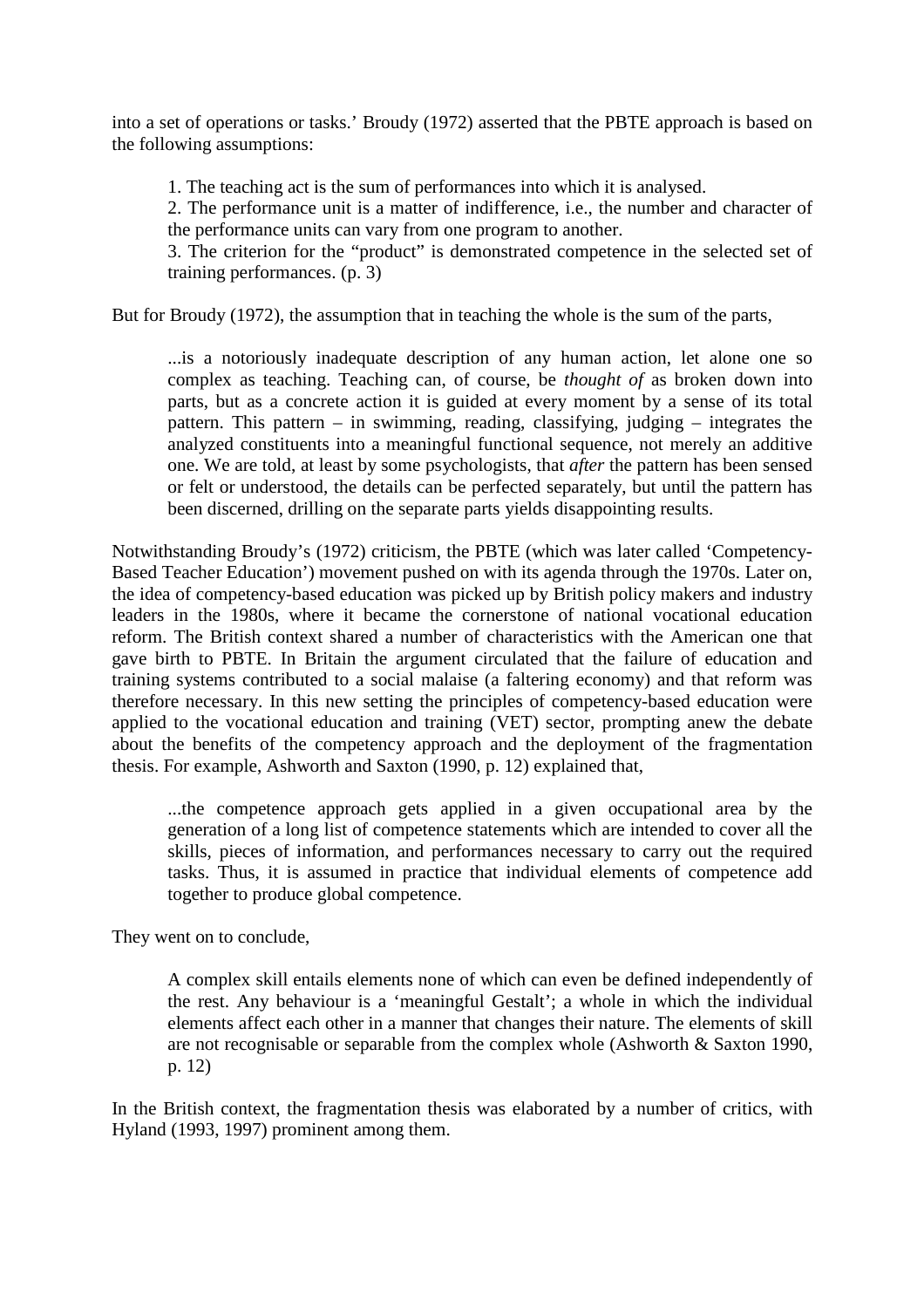into a set of operations or tasks.' Broudy (1972) asserted that the PBTE approach is based on the following assumptions:

1. The teaching act is the sum of performances into which it is analysed.

2. The performance unit is a matter of indifference, i.e., the number and character of the performance units can vary from one program to another.

3. The criterion for the "product" is demonstrated competence in the selected set of training performances. (p. 3)

But for Broudy (1972), the assumption that in teaching the whole is the sum of the parts,

...is a notoriously inadequate description of any human action, let alone one so complex as teaching. Teaching can, of course, be *thought of* as broken down into parts, but as a concrete action it is guided at every moment by a sense of its total pattern. This pattern – in swimming, reading, classifying, judging – integrates the analyzed constituents into a meaningful functional sequence, not merely an additive one. We are told, at least by some psychologists, that *after* the pattern has been sensed or felt or understood, the details can be perfected separately, but until the pattern has been discerned, drilling on the separate parts yields disappointing results.

Notwithstanding Broudy's (1972) criticism, the PBTE (which was later called 'Competency-Based Teacher Education') movement pushed on with its agenda through the 1970s. Later on, the idea of competency-based education was picked up by British policy makers and industry leaders in the 1980s, where it became the cornerstone of national vocational education reform. The British context shared a number of characteristics with the American one that gave birth to PBTE. In Britain the argument circulated that the failure of education and training systems contributed to a social malaise (a faltering economy) and that reform was therefore necessary. In this new setting the principles of competency-based education were applied to the vocational education and training (VET) sector, prompting anew the debate about the benefits of the competency approach and the deployment of the fragmentation thesis. For example, Ashworth and Saxton (1990, p. 12) explained that,

...the competence approach gets applied in a given occupational area by the generation of a long list of competence statements which are intended to cover all the skills, pieces of information, and performances necessary to carry out the required tasks. Thus, it is assumed in practice that individual elements of competence add together to produce global competence.

They went on to conclude,

A complex skill entails elements none of which can even be defined independently of the rest. Any behaviour is a 'meaningful Gestalt'; a whole in which the individual elements affect each other in a manner that changes their nature. The elements of skill are not recognisable or separable from the complex whole (Ashworth & Saxton 1990, p. 12)

In the British context, the fragmentation thesis was elaborated by a number of critics, with Hyland (1993, 1997) prominent among them.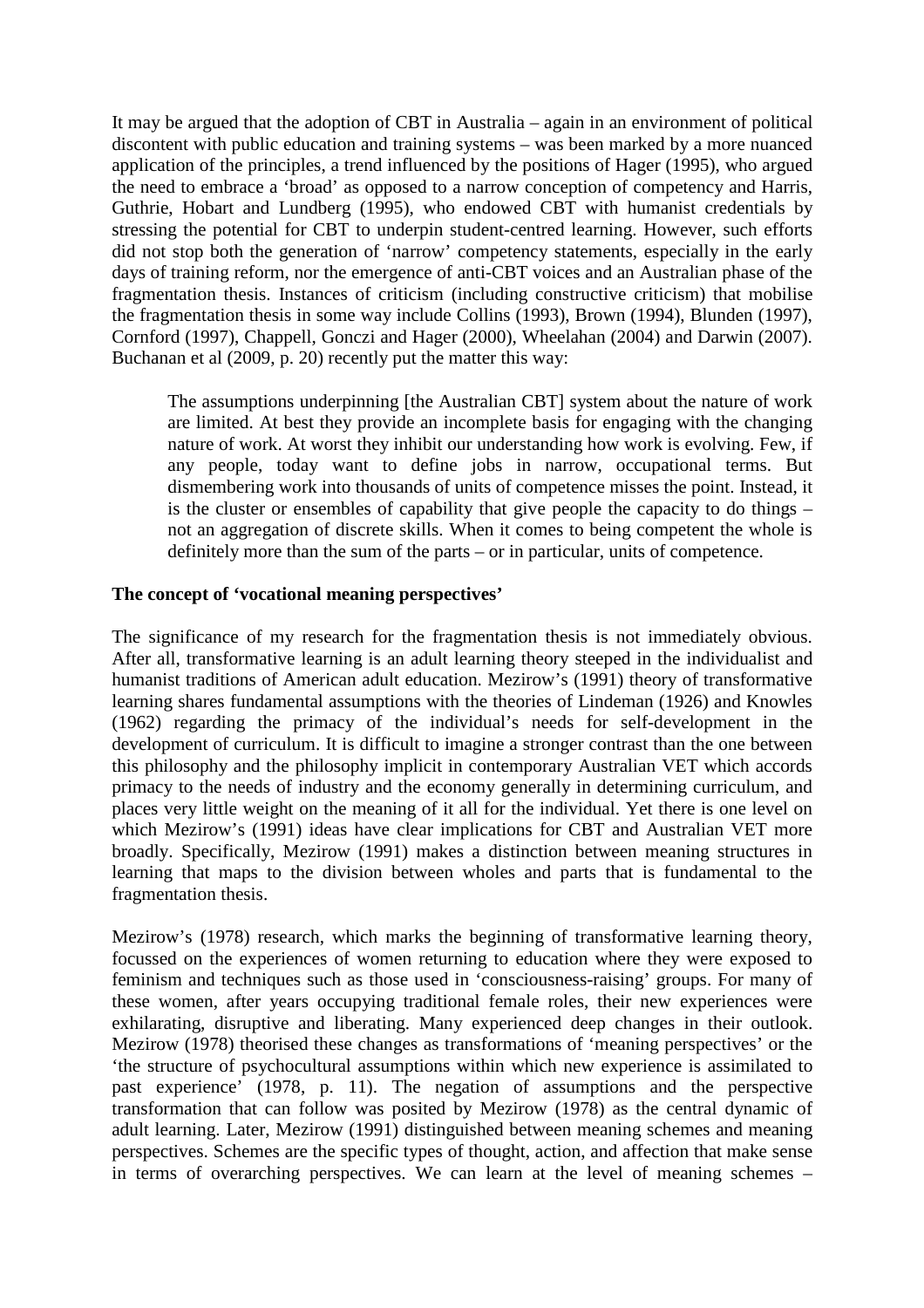It may be argued that the adoption of CBT in Australia – again in an environment of political discontent with public education and training systems – was been marked by a more nuanced application of the principles, a trend influenced by the positions of Hager (1995), who argued the need to embrace a 'broad' as opposed to a narrow conception of competency and Harris, Guthrie, Hobart and Lundberg (1995), who endowed CBT with humanist credentials by stressing the potential for CBT to underpin student-centred learning. However, such efforts did not stop both the generation of 'narrow' competency statements, especially in the early days of training reform, nor the emergence of anti-CBT voices and an Australian phase of the fragmentation thesis. Instances of criticism (including constructive criticism) that mobilise the fragmentation thesis in some way include Collins (1993), Brown (1994), Blunden (1997), Cornford (1997), Chappell, Gonczi and Hager (2000), Wheelahan (2004) and Darwin (2007). Buchanan et al (2009, p. 20) recently put the matter this way:

The assumptions underpinning [the Australian CBT] system about the nature of work are limited. At best they provide an incomplete basis for engaging with the changing nature of work. At worst they inhibit our understanding how work is evolving. Few, if any people, today want to define jobs in narrow, occupational terms. But dismembering work into thousands of units of competence misses the point. Instead, it is the cluster or ensembles of capability that give people the capacity to do things – not an aggregation of discrete skills. When it comes to being competent the whole is definitely more than the sum of the parts – or in particular, units of competence.

# **The concept of 'vocational meaning perspectives'**

The significance of my research for the fragmentation thesis is not immediately obvious. After all, transformative learning is an adult learning theory steeped in the individualist and humanist traditions of American adult education. Mezirow's (1991) theory of transformative learning shares fundamental assumptions with the theories of Lindeman (1926) and Knowles (1962) regarding the primacy of the individual's needs for self-development in the development of curriculum. It is difficult to imagine a stronger contrast than the one between this philosophy and the philosophy implicit in contemporary Australian VET which accords primacy to the needs of industry and the economy generally in determining curriculum, and places very little weight on the meaning of it all for the individual. Yet there is one level on which Mezirow's (1991) ideas have clear implications for CBT and Australian VET more broadly. Specifically, Mezirow (1991) makes a distinction between meaning structures in learning that maps to the division between wholes and parts that is fundamental to the fragmentation thesis.

Mezirow's (1978) research, which marks the beginning of transformative learning theory, focussed on the experiences of women returning to education where they were exposed to feminism and techniques such as those used in 'consciousness-raising' groups. For many of these women, after years occupying traditional female roles, their new experiences were exhilarating, disruptive and liberating. Many experienced deep changes in their outlook. Mezirow (1978) theorised these changes as transformations of 'meaning perspectives' or the 'the structure of psychocultural assumptions within which new experience is assimilated to past experience' (1978, p. 11). The negation of assumptions and the perspective transformation that can follow was posited by Mezirow (1978) as the central dynamic of adult learning. Later, Mezirow (1991) distinguished between meaning schemes and meaning perspectives. Schemes are the specific types of thought, action, and affection that make sense in terms of overarching perspectives. We can learn at the level of meaning schemes –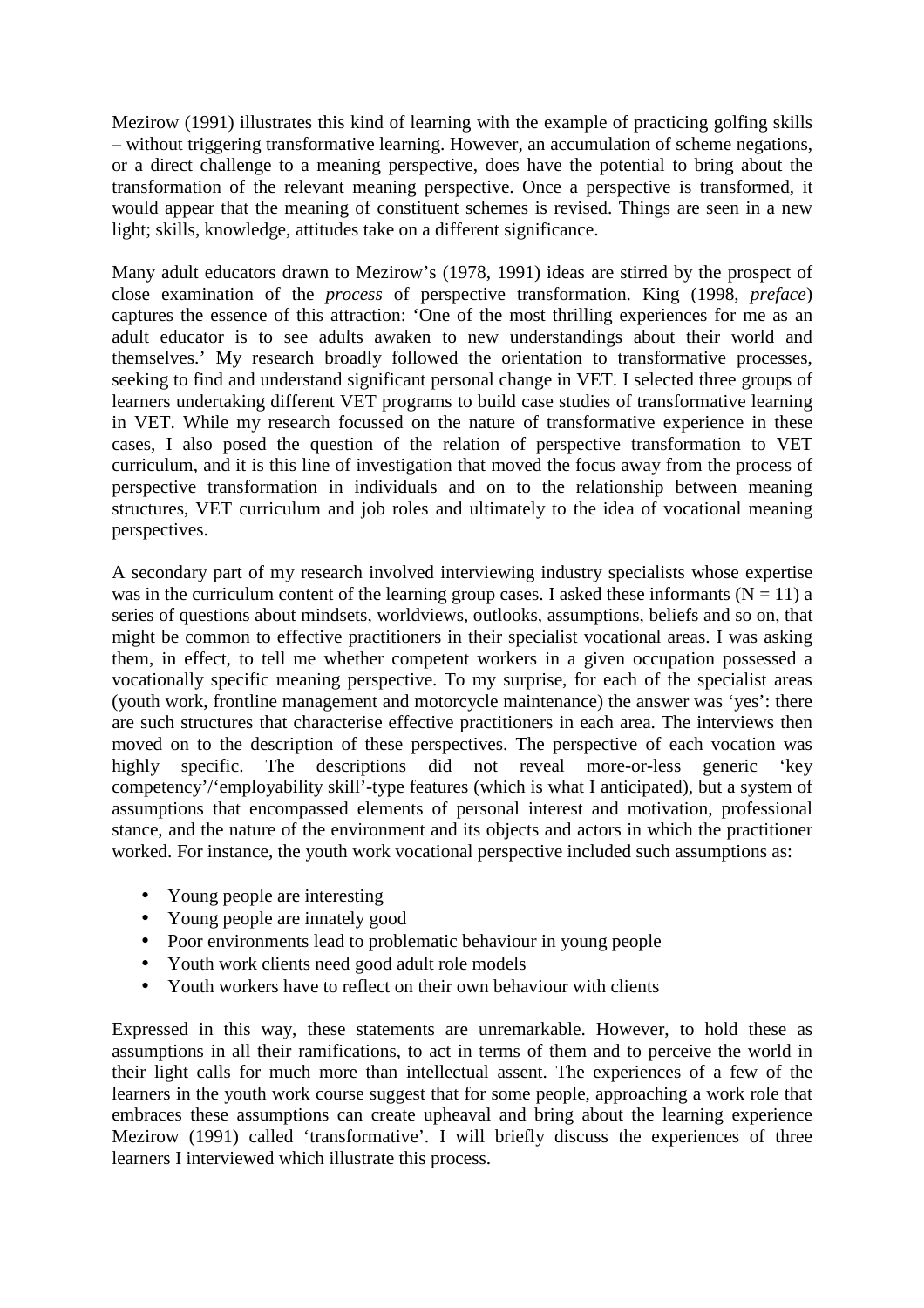Mezirow (1991) illustrates this kind of learning with the example of practicing golfing skills – without triggering transformative learning. However, an accumulation of scheme negations, or a direct challenge to a meaning perspective, does have the potential to bring about the transformation of the relevant meaning perspective. Once a perspective is transformed, it would appear that the meaning of constituent schemes is revised. Things are seen in a new light; skills, knowledge, attitudes take on a different significance.

Many adult educators drawn to Mezirow's (1978, 1991) ideas are stirred by the prospect of close examination of the *process* of perspective transformation. King (1998, *preface*) captures the essence of this attraction: 'One of the most thrilling experiences for me as an adult educator is to see adults awaken to new understandings about their world and themselves.' My research broadly followed the orientation to transformative processes, seeking to find and understand significant personal change in VET. I selected three groups of learners undertaking different VET programs to build case studies of transformative learning in VET. While my research focussed on the nature of transformative experience in these cases, I also posed the question of the relation of perspective transformation to VET curriculum, and it is this line of investigation that moved the focus away from the process of perspective transformation in individuals and on to the relationship between meaning structures, VET curriculum and job roles and ultimately to the idea of vocational meaning perspectives.

A secondary part of my research involved interviewing industry specialists whose expertise was in the curriculum content of the learning group cases. I asked these informants ( $N = 11$ ) a series of questions about mindsets, worldviews, outlooks, assumptions, beliefs and so on, that might be common to effective practitioners in their specialist vocational areas. I was asking them, in effect, to tell me whether competent workers in a given occupation possessed a vocationally specific meaning perspective. To my surprise, for each of the specialist areas (youth work, frontline management and motorcycle maintenance) the answer was 'yes': there are such structures that characterise effective practitioners in each area. The interviews then moved on to the description of these perspectives. The perspective of each vocation was highly specific. The descriptions did not reveal more-or-less generic 'key competency'/'employability skill'-type features (which is what I anticipated), but a system of assumptions that encompassed elements of personal interest and motivation, professional stance, and the nature of the environment and its objects and actors in which the practitioner worked. For instance, the youth work vocational perspective included such assumptions as:

- Young people are interesting
- Young people are innately good
- Poor environments lead to problematic behaviour in young people
- Youth work clients need good adult role models
- Youth workers have to reflect on their own behaviour with clients

Expressed in this way, these statements are unremarkable. However, to hold these as assumptions in all their ramifications, to act in terms of them and to perceive the world in their light calls for much more than intellectual assent. The experiences of a few of the learners in the youth work course suggest that for some people, approaching a work role that embraces these assumptions can create upheaval and bring about the learning experience Mezirow (1991) called 'transformative'. I will briefly discuss the experiences of three learners I interviewed which illustrate this process.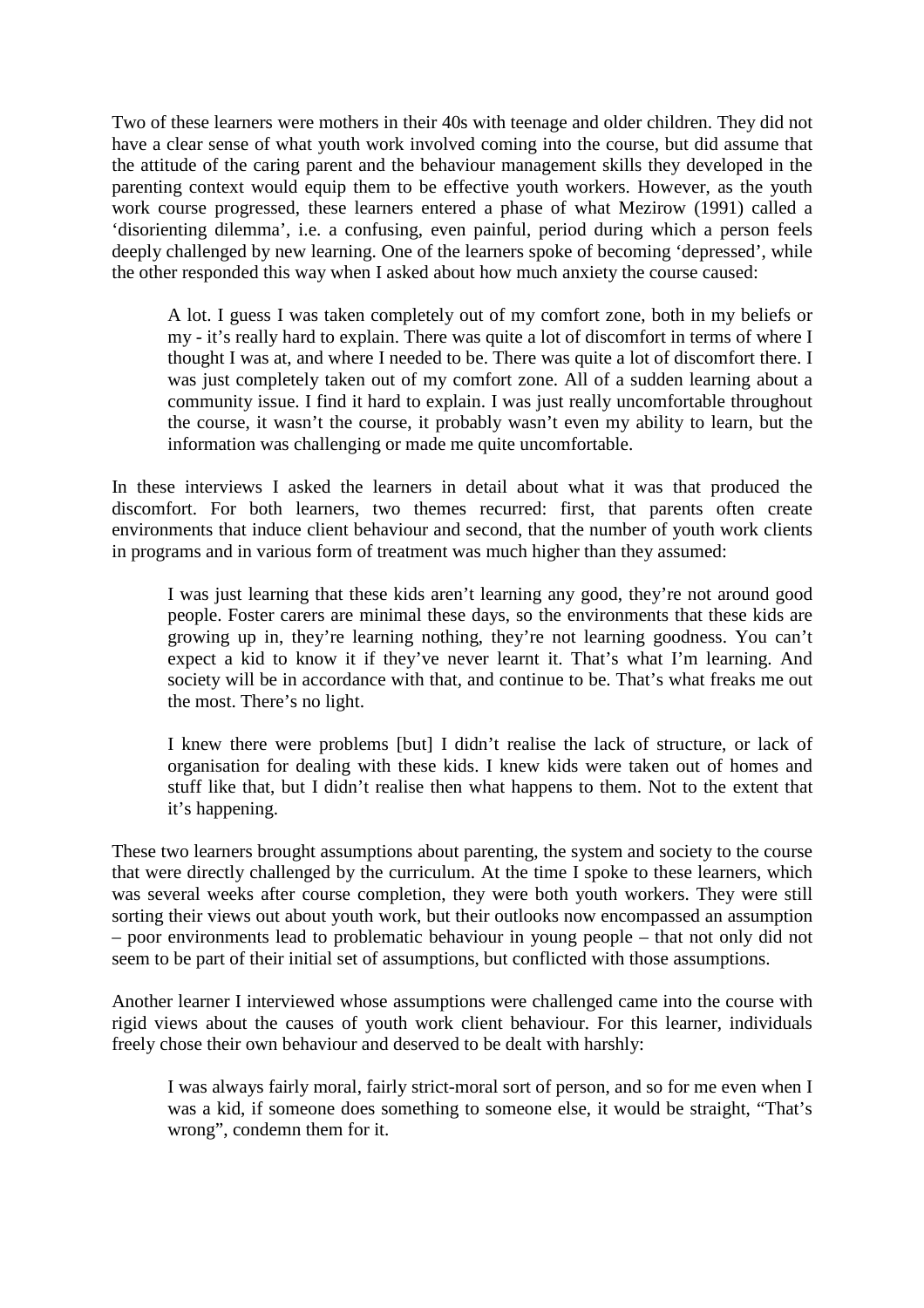Two of these learners were mothers in their 40s with teenage and older children. They did not have a clear sense of what youth work involved coming into the course, but did assume that the attitude of the caring parent and the behaviour management skills they developed in the parenting context would equip them to be effective youth workers. However, as the youth work course progressed, these learners entered a phase of what Mezirow (1991) called a 'disorienting dilemma', i.e. a confusing, even painful, period during which a person feels deeply challenged by new learning. One of the learners spoke of becoming 'depressed', while the other responded this way when I asked about how much anxiety the course caused:

A lot. I guess I was taken completely out of my comfort zone, both in my beliefs or my - it's really hard to explain. There was quite a lot of discomfort in terms of where I thought I was at, and where I needed to be. There was quite a lot of discomfort there. I was just completely taken out of my comfort zone. All of a sudden learning about a community issue. I find it hard to explain. I was just really uncomfortable throughout the course, it wasn't the course, it probably wasn't even my ability to learn, but the information was challenging or made me quite uncomfortable.

In these interviews I asked the learners in detail about what it was that produced the discomfort. For both learners, two themes recurred: first, that parents often create environments that induce client behaviour and second, that the number of youth work clients in programs and in various form of treatment was much higher than they assumed:

I was just learning that these kids aren't learning any good, they're not around good people. Foster carers are minimal these days, so the environments that these kids are growing up in, they're learning nothing, they're not learning goodness. You can't expect a kid to know it if they've never learnt it. That's what I'm learning. And society will be in accordance with that, and continue to be. That's what freaks me out the most. There's no light.

I knew there were problems [but] I didn't realise the lack of structure, or lack of organisation for dealing with these kids. I knew kids were taken out of homes and stuff like that, but I didn't realise then what happens to them. Not to the extent that it's happening.

These two learners brought assumptions about parenting, the system and society to the course that were directly challenged by the curriculum. At the time I spoke to these learners, which was several weeks after course completion, they were both youth workers. They were still sorting their views out about youth work, but their outlooks now encompassed an assumption – poor environments lead to problematic behaviour in young people – that not only did not seem to be part of their initial set of assumptions, but conflicted with those assumptions.

Another learner I interviewed whose assumptions were challenged came into the course with rigid views about the causes of youth work client behaviour. For this learner, individuals freely chose their own behaviour and deserved to be dealt with harshly:

I was always fairly moral, fairly strict-moral sort of person, and so for me even when I was a kid, if someone does something to someone else, it would be straight, "That's wrong", condemn them for it.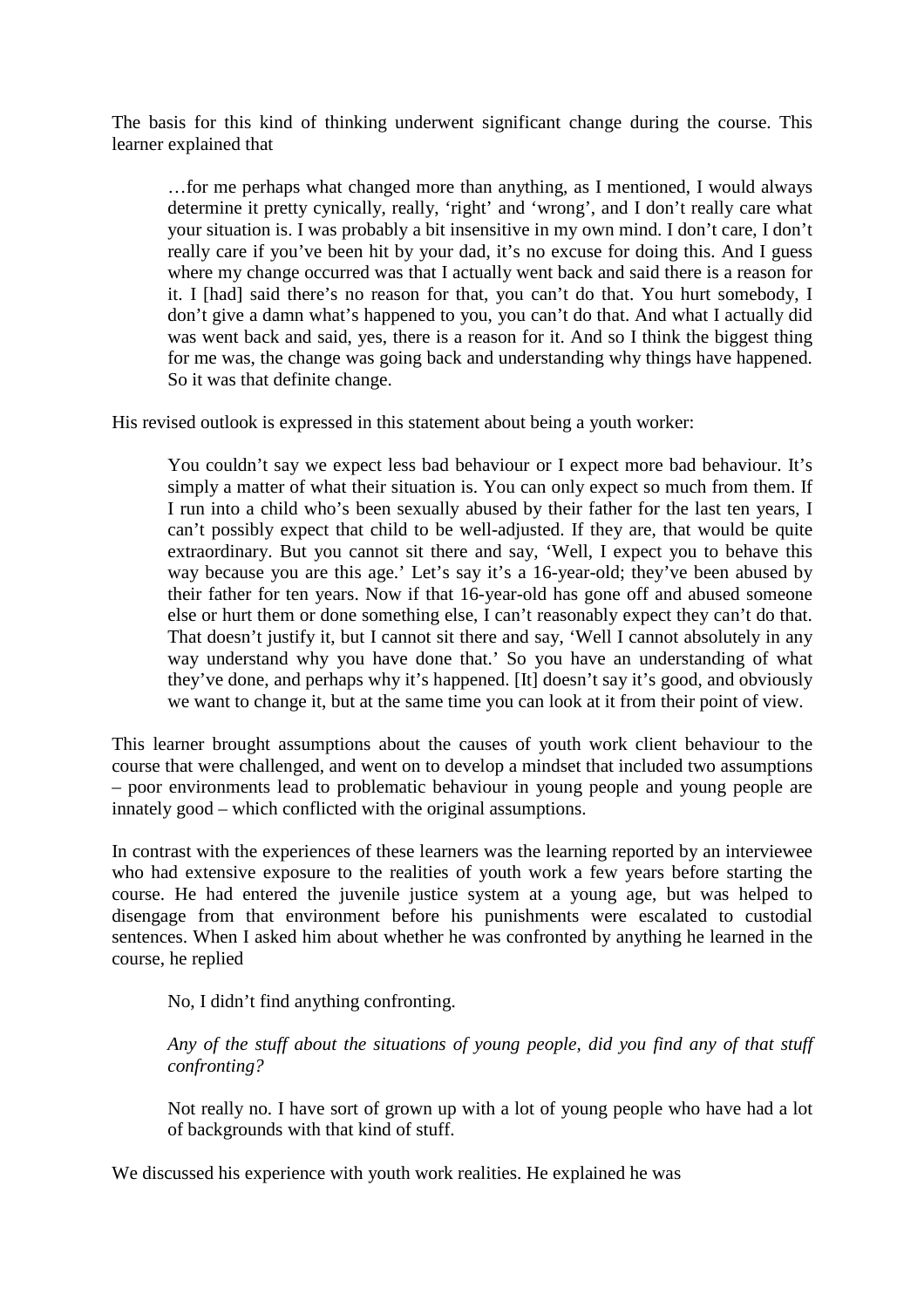The basis for this kind of thinking underwent significant change during the course. This learner explained that

…for me perhaps what changed more than anything, as I mentioned, I would always determine it pretty cynically, really, 'right' and 'wrong', and I don't really care what your situation is. I was probably a bit insensitive in my own mind. I don't care, I don't really care if you've been hit by your dad, it's no excuse for doing this. And I guess where my change occurred was that I actually went back and said there is a reason for it. I [had] said there's no reason for that, you can't do that. You hurt somebody, I don't give a damn what's happened to you, you can't do that. And what I actually did was went back and said, yes, there is a reason for it. And so I think the biggest thing for me was, the change was going back and understanding why things have happened. So it was that definite change.

His revised outlook is expressed in this statement about being a youth worker:

You couldn't say we expect less bad behaviour or I expect more bad behaviour. It's simply a matter of what their situation is. You can only expect so much from them. If I run into a child who's been sexually abused by their father for the last ten years, I can't possibly expect that child to be well-adjusted. If they are, that would be quite extraordinary. But you cannot sit there and say, 'Well, I expect you to behave this way because you are this age.' Let's say it's a 16-year-old; they've been abused by their father for ten years. Now if that 16-year-old has gone off and abused someone else or hurt them or done something else, I can't reasonably expect they can't do that. That doesn't justify it, but I cannot sit there and say, 'Well I cannot absolutely in any way understand why you have done that.' So you have an understanding of what they've done, and perhaps why it's happened. [It] doesn't say it's good, and obviously we want to change it, but at the same time you can look at it from their point of view.

This learner brought assumptions about the causes of youth work client behaviour to the course that were challenged, and went on to develop a mindset that included two assumptions – poor environments lead to problematic behaviour in young people and young people are innately good – which conflicted with the original assumptions.

In contrast with the experiences of these learners was the learning reported by an interviewee who had extensive exposure to the realities of youth work a few years before starting the course. He had entered the juvenile justice system at a young age, but was helped to disengage from that environment before his punishments were escalated to custodial sentences. When I asked him about whether he was confronted by anything he learned in the course, he replied

No, I didn't find anything confronting.

*Any of the stuff about the situations of young people, did you find any of that stuff confronting?* 

Not really no. I have sort of grown up with a lot of young people who have had a lot of backgrounds with that kind of stuff.

We discussed his experience with youth work realities. He explained he was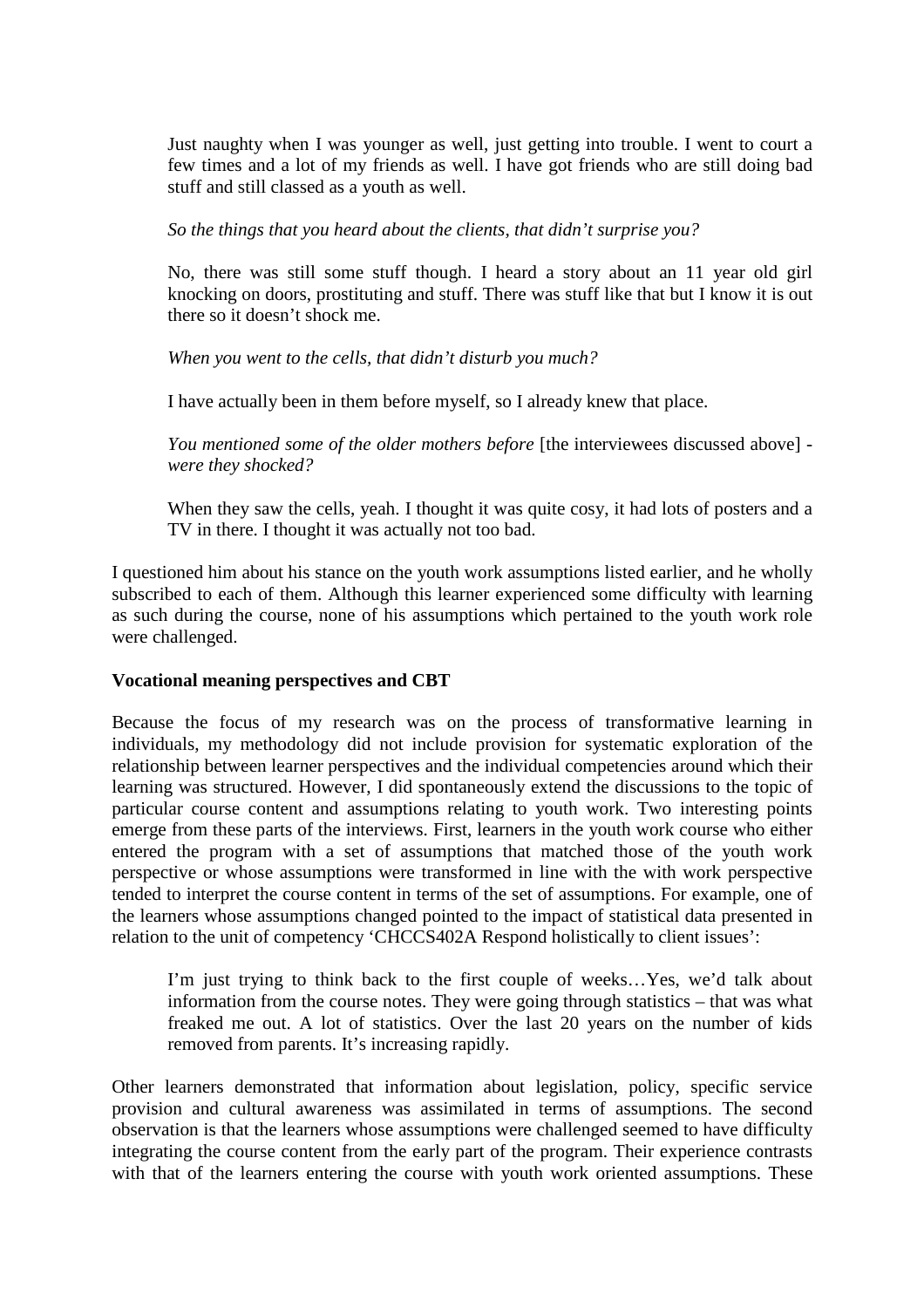Just naughty when I was younger as well, just getting into trouble. I went to court a few times and a lot of my friends as well. I have got friends who are still doing bad stuff and still classed as a youth as well.

*So the things that you heard about the clients, that didn't surprise you?* 

No, there was still some stuff though. I heard a story about an 11 year old girl knocking on doors, prostituting and stuff. There was stuff like that but I know it is out there so it doesn't shock me.

*When you went to the cells, that didn't disturb you much?* 

I have actually been in them before myself, so I already knew that place.

*You mentioned some of the older mothers before* [the interviewees discussed above] *were they shocked?* 

When they saw the cells, yeah. I thought it was quite cosy, it had lots of posters and a TV in there. I thought it was actually not too bad.

I questioned him about his stance on the youth work assumptions listed earlier, and he wholly subscribed to each of them. Although this learner experienced some difficulty with learning as such during the course, none of his assumptions which pertained to the youth work role were challenged.

# **Vocational meaning perspectives and CBT**

Because the focus of my research was on the process of transformative learning in individuals, my methodology did not include provision for systematic exploration of the relationship between learner perspectives and the individual competencies around which their learning was structured. However, I did spontaneously extend the discussions to the topic of particular course content and assumptions relating to youth work. Two interesting points emerge from these parts of the interviews. First, learners in the youth work course who either entered the program with a set of assumptions that matched those of the youth work perspective or whose assumptions were transformed in line with the with work perspective tended to interpret the course content in terms of the set of assumptions. For example, one of the learners whose assumptions changed pointed to the impact of statistical data presented in relation to the unit of competency 'CHCCS402A Respond holistically to client issues':

I'm just trying to think back to the first couple of weeks…Yes, we'd talk about information from the course notes. They were going through statistics – that was what freaked me out. A lot of statistics. Over the last 20 years on the number of kids removed from parents. It's increasing rapidly.

Other learners demonstrated that information about legislation, policy, specific service provision and cultural awareness was assimilated in terms of assumptions. The second observation is that the learners whose assumptions were challenged seemed to have difficulty integrating the course content from the early part of the program. Their experience contrasts with that of the learners entering the course with youth work oriented assumptions. These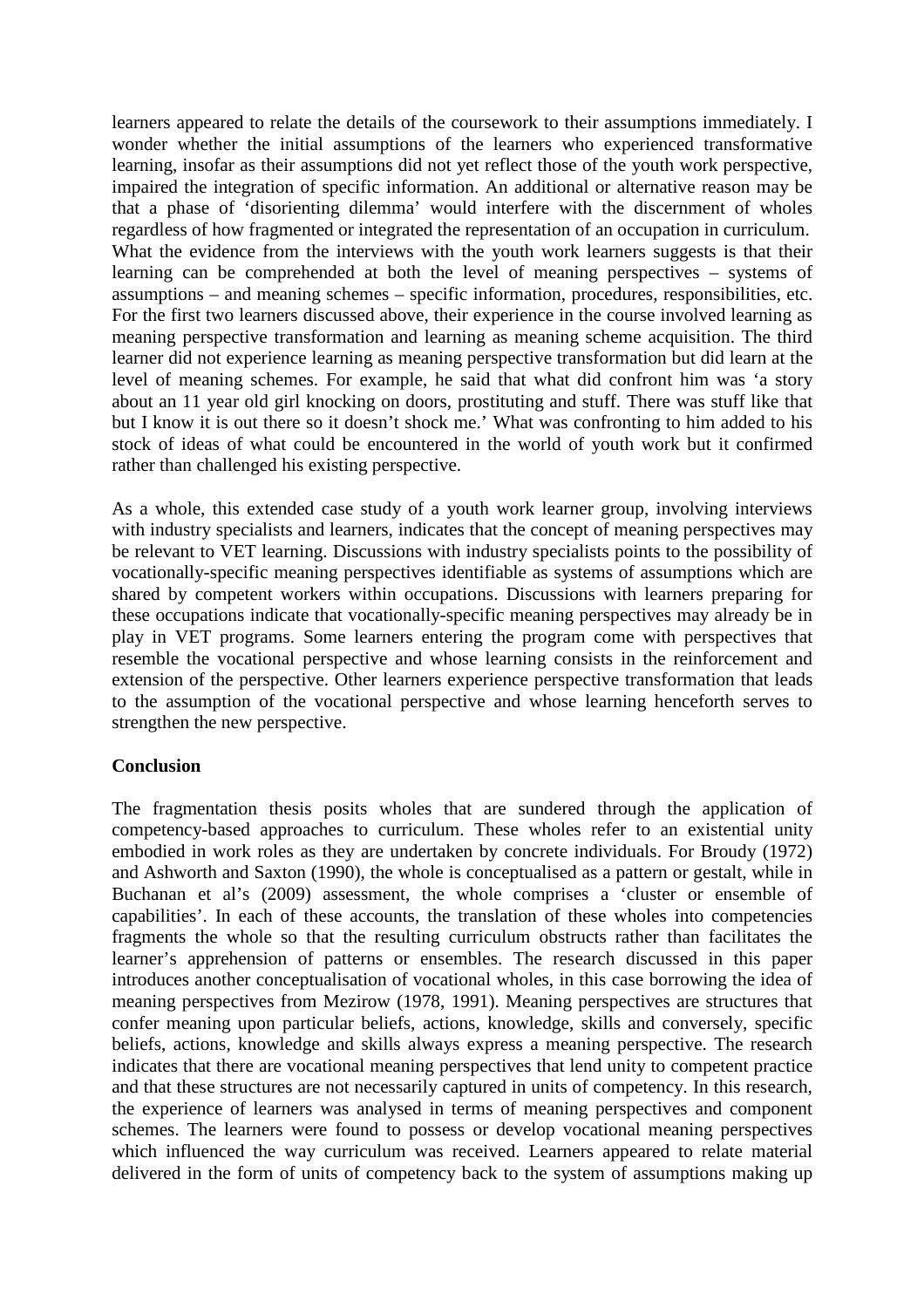learners appeared to relate the details of the coursework to their assumptions immediately. I wonder whether the initial assumptions of the learners who experienced transformative learning, insofar as their assumptions did not yet reflect those of the youth work perspective, impaired the integration of specific information. An additional or alternative reason may be that a phase of 'disorienting dilemma' would interfere with the discernment of wholes regardless of how fragmented or integrated the representation of an occupation in curriculum. What the evidence from the interviews with the youth work learners suggests is that their learning can be comprehended at both the level of meaning perspectives – systems of assumptions – and meaning schemes – specific information, procedures, responsibilities, etc. For the first two learners discussed above, their experience in the course involved learning as meaning perspective transformation and learning as meaning scheme acquisition. The third learner did not experience learning as meaning perspective transformation but did learn at the level of meaning schemes. For example, he said that what did confront him was 'a story about an 11 year old girl knocking on doors, prostituting and stuff. There was stuff like that but I know it is out there so it doesn't shock me.' What was confronting to him added to his stock of ideas of what could be encountered in the world of youth work but it confirmed rather than challenged his existing perspective.

As a whole, this extended case study of a youth work learner group, involving interviews with industry specialists and learners, indicates that the concept of meaning perspectives may be relevant to VET learning. Discussions with industry specialists points to the possibility of vocationally-specific meaning perspectives identifiable as systems of assumptions which are shared by competent workers within occupations. Discussions with learners preparing for these occupations indicate that vocationally-specific meaning perspectives may already be in play in VET programs. Some learners entering the program come with perspectives that resemble the vocational perspective and whose learning consists in the reinforcement and extension of the perspective. Other learners experience perspective transformation that leads to the assumption of the vocational perspective and whose learning henceforth serves to strengthen the new perspective.

# **Conclusion**

The fragmentation thesis posits wholes that are sundered through the application of competency-based approaches to curriculum. These wholes refer to an existential unity embodied in work roles as they are undertaken by concrete individuals. For Broudy (1972) and Ashworth and Saxton (1990), the whole is conceptualised as a pattern or gestalt, while in Buchanan et al's (2009) assessment, the whole comprises a 'cluster or ensemble of capabilities'. In each of these accounts, the translation of these wholes into competencies fragments the whole so that the resulting curriculum obstructs rather than facilitates the learner's apprehension of patterns or ensembles. The research discussed in this paper introduces another conceptualisation of vocational wholes, in this case borrowing the idea of meaning perspectives from Mezirow (1978, 1991). Meaning perspectives are structures that confer meaning upon particular beliefs, actions, knowledge, skills and conversely, specific beliefs, actions, knowledge and skills always express a meaning perspective. The research indicates that there are vocational meaning perspectives that lend unity to competent practice and that these structures are not necessarily captured in units of competency. In this research, the experience of learners was analysed in terms of meaning perspectives and component schemes. The learners were found to possess or develop vocational meaning perspectives which influenced the way curriculum was received. Learners appeared to relate material delivered in the form of units of competency back to the system of assumptions making up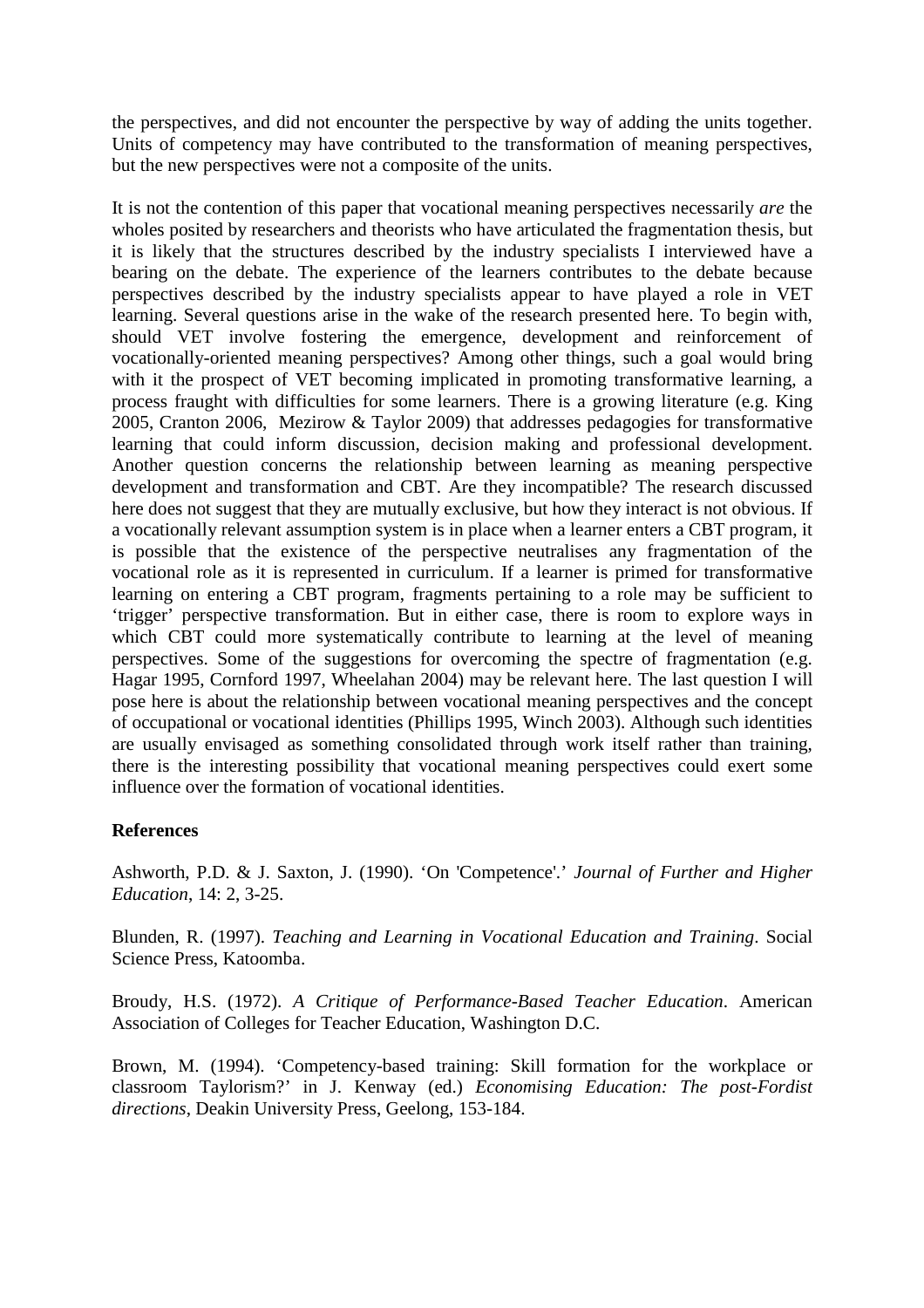the perspectives, and did not encounter the perspective by way of adding the units together. Units of competency may have contributed to the transformation of meaning perspectives, but the new perspectives were not a composite of the units.

It is not the contention of this paper that vocational meaning perspectives necessarily *are* the wholes posited by researchers and theorists who have articulated the fragmentation thesis, but it is likely that the structures described by the industry specialists I interviewed have a bearing on the debate. The experience of the learners contributes to the debate because perspectives described by the industry specialists appear to have played a role in VET learning. Several questions arise in the wake of the research presented here. To begin with, should VET involve fostering the emergence, development and reinforcement of vocationally-oriented meaning perspectives? Among other things, such a goal would bring with it the prospect of VET becoming implicated in promoting transformative learning, a process fraught with difficulties for some learners. There is a growing literature (e.g. King 2005, Cranton 2006, Mezirow & Taylor 2009) that addresses pedagogies for transformative learning that could inform discussion, decision making and professional development. Another question concerns the relationship between learning as meaning perspective development and transformation and CBT. Are they incompatible? The research discussed here does not suggest that they are mutually exclusive, but how they interact is not obvious. If a vocationally relevant assumption system is in place when a learner enters a CBT program, it is possible that the existence of the perspective neutralises any fragmentation of the vocational role as it is represented in curriculum. If a learner is primed for transformative learning on entering a CBT program, fragments pertaining to a role may be sufficient to 'trigger' perspective transformation. But in either case, there is room to explore ways in which CBT could more systematically contribute to learning at the level of meaning perspectives. Some of the suggestions for overcoming the spectre of fragmentation (e.g. Hagar 1995, Cornford 1997, Wheelahan 2004) may be relevant here. The last question I will pose here is about the relationship between vocational meaning perspectives and the concept of occupational or vocational identities (Phillips 1995, Winch 2003). Although such identities are usually envisaged as something consolidated through work itself rather than training, there is the interesting possibility that vocational meaning perspectives could exert some influence over the formation of vocational identities.

# **References**

Ashworth, P.D. & J. Saxton, J. (1990). 'On 'Competence'.' *Journal of Further and Higher Education*, 14: 2, 3-25.

Blunden, R. (1997). *Teaching and Learning in Vocational Education and Training*. Social Science Press, Katoomba.

Broudy, H.S. (1972). *A Critique of Performance-Based Teacher Education*. American Association of Colleges for Teacher Education, Washington D.C.

Brown, M. (1994). 'Competency-based training: Skill formation for the workplace or classroom Taylorism?' in J. Kenway (ed.) *Economising Education: The post-Fordist directions*, Deakin University Press, Geelong, 153-184.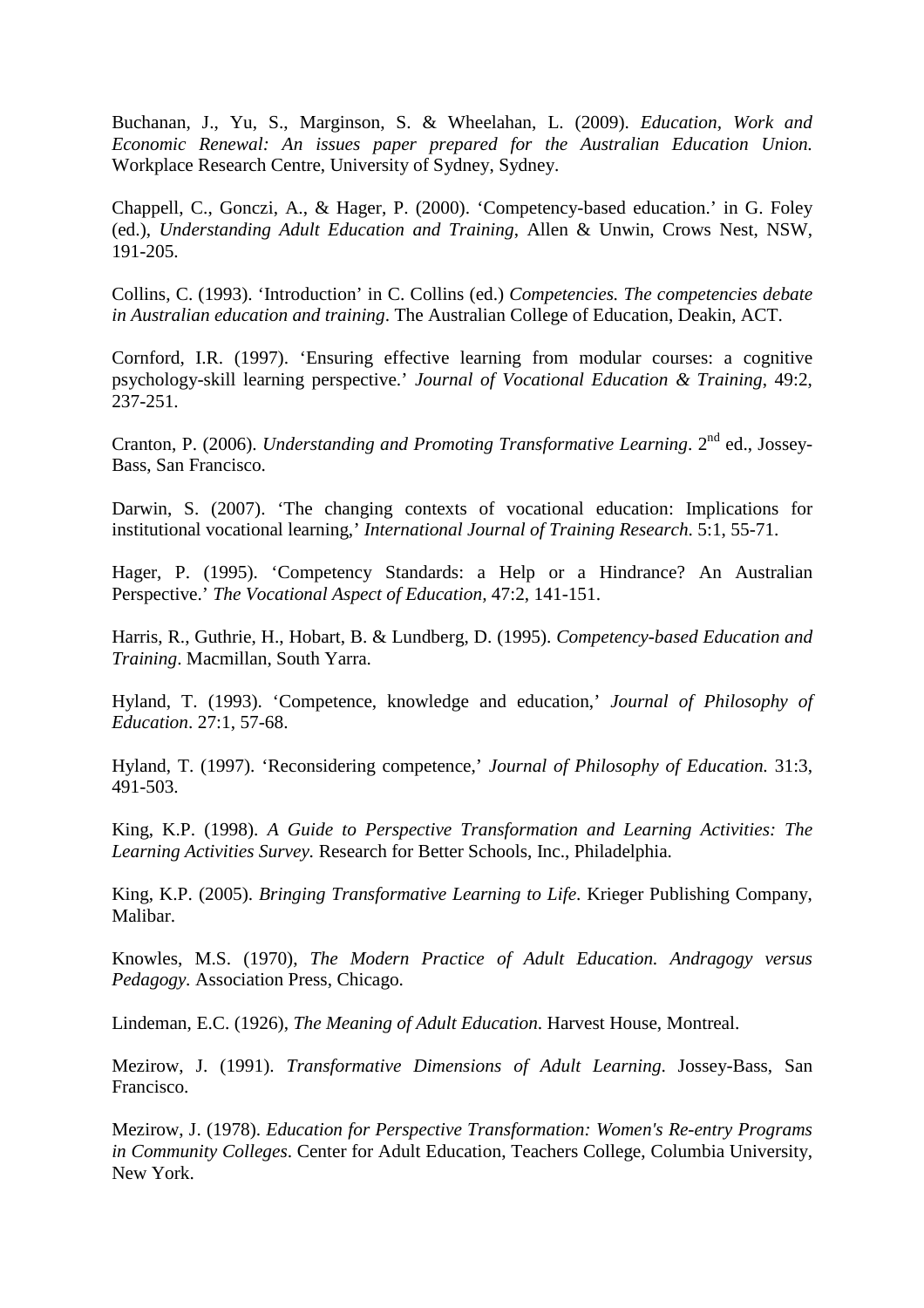Buchanan, J., Yu, S., Marginson, S. & Wheelahan, L. (2009). *Education, Work and Economic Renewal: An issues paper prepared for the Australian Education Union.* Workplace Research Centre, University of Sydney, Sydney.

Chappell, C., Gonczi, A., & Hager, P. (2000). 'Competency-based education.' in G. Foley (ed.), *Understanding Adult Education and Training*, Allen & Unwin, Crows Nest, NSW, 191-205.

Collins, C. (1993). 'Introduction' in C. Collins (ed.) *Competencies. The competencies debate in Australian education and training*. The Australian College of Education, Deakin, ACT.

Cornford, I.R. (1997). 'Ensuring effective learning from modular courses: a cognitive psychology-skill learning perspective.' *Journal of Vocational Education & Training*, 49:2, 237-251.

Cranton, P. (2006). *Understanding and Promoting Transformative Learning*. 2<sup>nd</sup> ed., Jossey-Bass, San Francisco.

Darwin, S. (2007). 'The changing contexts of vocational education: Implications for institutional vocational learning,' *International Journal of Training Research*. 5:1, 55-71.

Hager, P. (1995). 'Competency Standards: a Help or a Hindrance? An Australian Perspective.' *The Vocational Aspect of Education,* 47:2, 141-151.

Harris, R., Guthrie, H., Hobart, B. & Lundberg, D. (1995). *Competency-based Education and Training*. Macmillan, South Yarra.

Hyland, T. (1993). 'Competence, knowledge and education,' *Journal of Philosophy of Education*. 27:1, 57-68.

Hyland, T. (1997). 'Reconsidering competence,' *Journal of Philosophy of Education.* 31:3, 491-503.

King, K.P. (1998). *A Guide to Perspective Transformation and Learning Activities: The Learning Activities Survey.* Research for Better Schools, Inc., Philadelphia.

King, K.P. (2005). *Bringing Transformative Learning to Life*. Krieger Publishing Company, Malibar.

Knowles, M.S. (1970), *The Modern Practice of Adult Education. Andragogy versus Pedagogy.* Association Press, Chicago.

Lindeman, E.C. (1926), *The Meaning of Adult Education*. Harvest House, Montreal.

Mezirow, J. (1991). *Transformative Dimensions of Adult Learning*. Jossey-Bass, San Francisco.

Mezirow, J. (1978). *Education for Perspective Transformation: Women's Re-entry Programs in Community Colleges*. Center for Adult Education, Teachers College, Columbia University, New York.